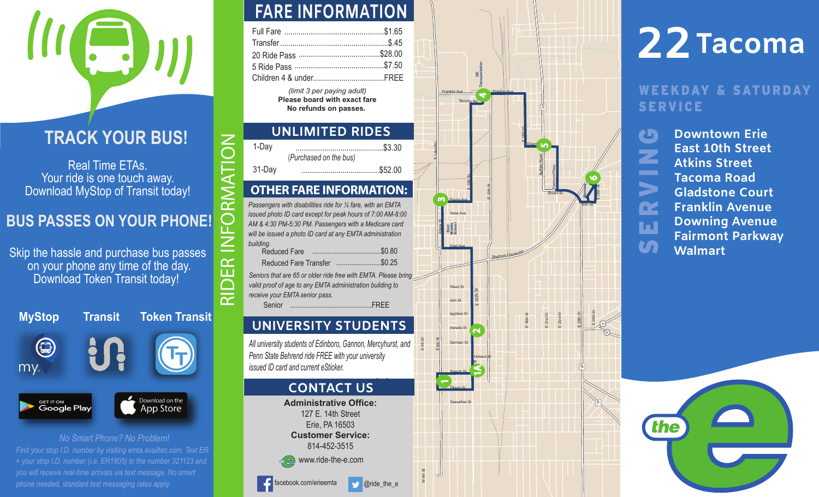### **TRACK YOUR BUS!**

Real Time ETAs. Your ride is one touch away. Download MyStop of Transit today!

# RIDER INFORMATION  $\bigcap$ **BUS PASSES ON YOUR PHONE!**

Skip the hassle and purchase bus passes on your phone any time of the day. Download Token Transit today!

| <b>MyStop</b>                          | <b>Transit</b> | <b>Token Transit</b>                |  |  |  |  |  |  |
|----------------------------------------|----------------|-------------------------------------|--|--|--|--|--|--|
| my.                                    | <b>P</b>       |                                     |  |  |  |  |  |  |
| <b>GET IT ON</b><br><b>Google Play</b> |                | Download on the<br><b>App Store</b> |  |  |  |  |  |  |
| No Smart Phone? No Problem!            |                |                                     |  |  |  |  |  |  |

*Find your stop I.D. number b y visiting emta.availtec.com. Text E R + your stop I.D. number (i.e. ER1805) to the number 321123 and you will receive real-time arrivals via text message. No smart phone needed, standard text messaging rates apply.* 

### **FARE INFORMATION**

*(limit 3 per paying adult)* **Please board with exact fare No refunds on passes.** 

### **UNLIMITED RIDES**

| 1-Dav  | $\cdots$               |
|--------|------------------------|
|        | (Purchased on the bus) |
| 31-Day |                        |

 $\boldsymbol{Z}$ 

 $\triangleleft$ 

 $\overline{\alpha}$ 

 $\alpha$ īπ

### **OTHER FARE INFORMATION:**

*Passengers with disabilities ride for ½ fare, with an EMTA issued photo ID card except for peak hours of 7:00 AM-8:00 AM & 4:30 PM-5:30 PM. Passengers with a Medicare card will be issued a photo ID card at any EMTA administration building.* Reduced Fare .....................................\$0.80 Reduced Fare Transfer........................\$0.25 Senior ............................................FREE*Seniors that are 65 or older ride free with EMTA. Please bring valid proof of age to any EMTA administration building to receive your EMTA senior pass.*

### **UNIVERSITY STUDENTS**

*All university students of Edinboro, Gannon, Mercyhurst, and Penn State Behrend ride FREE with your university issued ID card and current eSticker.*

### **CONTACT US**

**Administrative Office:**127 E. 14th Street Erie, PA 16503 **Customer Service:**814-452-3515www.ride-the-e.com

**Oride\_the\_e** 

facebook.com/erieemta

Peach St W 4th St Frenchh St Ash St Germann St East Av<sup>e</sup> $E$  12th St EE<sub>18th</sub> St **Buffalo Road** Hollandd **St** Wallace St Hess Av<sup>e</sup>E 10th St Payn<sup>e</sup> Av<sup>e</sup> Franklin Av<sup>e</sup> Fairmont Pkwy  $E$  26th St Franklin Ave E Lake Rd Sassafrass St Down<sub>1</sub> Tacomaa Rd m St Broad St Parade St Reed St  $E$  18th St E<sub>21st</sub> St 23rd St EE 6th St E $E$  4th St E 10th St Atkins St Bayfront Connector **East Middle School GE Transportation なんと言う 20** 1 $\sim$ თ 46 $\blacktriangleleft$ 5E 10th St

 $E$  28th St

**8**

**19**

E 28th St

# **22 Tacoma**

### WEEKDAY & SATURDAY | SERVICE

**Downtown Erie**C SERVING **East 10th Street**Z **Atkins StreetTacoma Road** $\blacktriangleright$ **Gladstone CourtFranklin Avenue**œ **Downing Avenue** ш **Fairmont Parkway** m **Walmart**